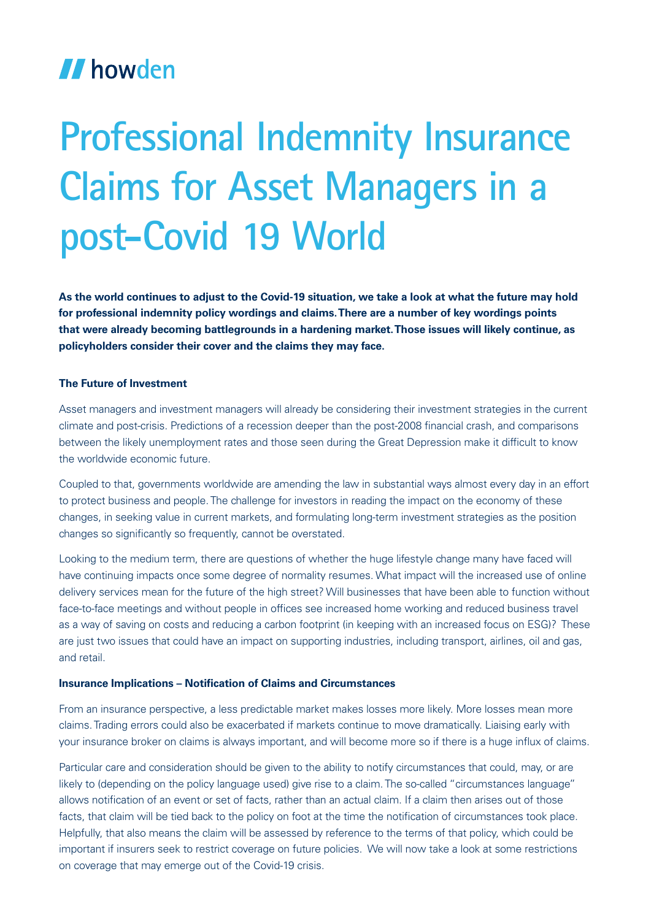## **II** howden

# **Professional Indemnity Insurance Claims for Asset Managers in a post-Covid 19 World**

**As the world continues to adjust to the Covid-19 situation, we take a look at what the future may hold for professional indemnity policy wordings and claims. There are a number of key wordings points that were already becoming battlegrounds in a hardening market. Those issues will likely continue, as policyholders consider their cover and the claims they may face.**

### **The Future of Investment**

Asset managers and investment managers will already be considering their investment strategies in the current climate and post-crisis. Predictions of a recession deeper than the post-2008 financial crash, and comparisons between the likely unemployment rates and those seen during the Great Depression make it difficult to know the worldwide economic future.

Coupled to that, governments worldwide are amending the law in substantial ways almost every day in an effort to protect business and people. The challenge for investors in reading the impact on the economy of these changes, in seeking value in current markets, and formulating long-term investment strategies as the position changes so significantly so frequently, cannot be overstated.

Looking to the medium term, there are questions of whether the huge lifestyle change many have faced will have continuing impacts once some degree of normality resumes. What impact will the increased use of online delivery services mean for the future of the high street? Will businesses that have been able to function without face-to-face meetings and without people in offices see increased home working and reduced business travel as a way of saving on costs and reducing a carbon footprint (in keeping with an increased focus on ESG)? These are just two issues that could have an impact on supporting industries, including transport, airlines, oil and gas, and retail.

#### **Insurance Implications – Notification of Claims and Circumstances**

From an insurance perspective, a less predictable market makes losses more likely. More losses mean more claims. Trading errors could also be exacerbated if markets continue to move dramatically. Liaising early with your insurance broker on claims is always important, and will become more so if there is a huge influx of claims.

Particular care and consideration should be given to the ability to notify circumstances that could, may, or are likely to (depending on the policy language used) give rise to a claim. The so-called "circumstances language" allows notification of an event or set of facts, rather than an actual claim. If a claim then arises out of those facts, that claim will be tied back to the policy on foot at the time the notification of circumstances took place. Helpfully, that also means the claim will be assessed by reference to the terms of that policy, which could be important if insurers seek to restrict coverage on future policies. We will now take a look at some restrictions on coverage that may emerge out of the Covid-19 crisis.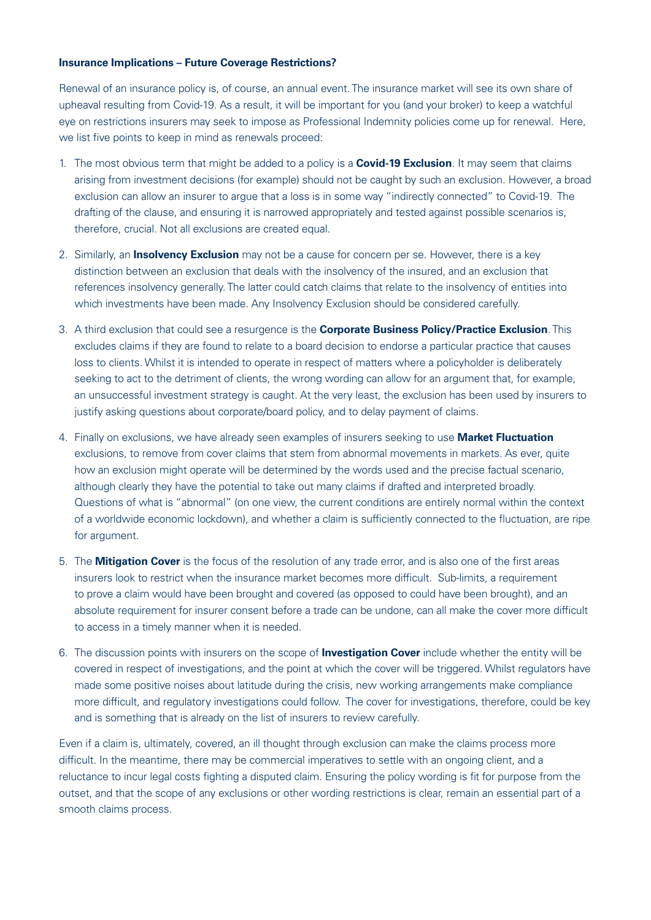#### **Insurance Implications – Future Coverage Restrictions?**

Renewal of an insurance policy is, of course, an annual event. The insurance market will see its own share of upheaval resulting from Covid-19. As a result, it will be important for you (and your broker) to keep a watchful eye on restrictions insurers may seek to impose as Professional Indemnity policies come up for renewal. Here, we list five points to keep in mind as renewals proceed:

- 1. The most obvious term that might be added to a policy is a **Covid-19 Exclusion**. It may seem that claims arising from investment decisions (for example) should not be caught by such an exclusion. However, a broad exclusion can allow an insurer to argue that a loss is in some way "indirectly connected" to Covid-19. The drafting of the clause, and ensuring it is narrowed appropriately and tested against possible scenarios is, therefore, crucial. Not all exclusions are created equal.
- 2. Similarly, an **Insolvency Exclusion** may not be a cause for concern per se. However, there is a key distinction between an exclusion that deals with the insolvency of the insured, and an exclusion that references insolvency generally. The latter could catch claims that relate to the insolvency of entities into which investments have been made. Any Insolvency Exclusion should be considered carefully.
- 3. A third exclusion that could see a resurgence is the **Corporate Business Policy/Practice Exclusion**. This excludes claims if they are found to relate to a board decision to endorse a particular practice that causes loss to clients. Whilst it is intended to operate in respect of matters where a policyholder is deliberately seeking to act to the detriment of clients, the wrong wording can allow for an argument that, for example, an unsuccessful investment strategy is caught. At the very least, the exclusion has been used by insurers to justify asking questions about corporate/board policy, and to delay payment of claims.
- 4. Finally on exclusions, we have already seen examples of insurers seeking to use **Market Fluctuation** exclusions, to remove from cover claims that stem from abnormal movements in markets. As ever, quite how an exclusion might operate will be determined by the words used and the precise factual scenario, although clearly they have the potential to take out many claims if drafted and interpreted broadly. Questions of what is "abnormal" (on one view, the current conditions are entirely normal within the context of a worldwide economic lockdown), and whether a claim is sufficiently connected to the fluctuation, are ripe for argument.
- 5. The **Mitigation Cover** is the focus of the resolution of any trade error, and is also one of the first areas insurers look to restrict when the insurance market becomes more difficult. Sub-limits, a requirement to prove a claim would have been brought and covered (as opposed to could have been brought), and an absolute requirement for insurer consent before a trade can be undone, can all make the cover more difficult to access in a timely manner when it is needed.
- 6. The discussion points with insurers on the scope of **Investigation Cover** include whether the entity will be covered in respect of investigations, and the point at which the cover will be triggered. Whilst regulators have made some positive noises about latitude during the crisis, new working arrangements make compliance more difficult, and regulatory investigations could follow. The cover for investigations, therefore, could be key and is something that is already on the list of insurers to review carefully.

Even if a claim is, ultimately, covered, an ill thought through exclusion can make the claims process more difficult. In the meantime, there may be commercial imperatives to settle with an ongoing client, and a reluctance to incur legal costs fighting a disputed claim. Ensuring the policy wording is fit for purpose from the outset, and that the scope of any exclusions or other wording restrictions is clear, remain an essential part of a smooth claims process.